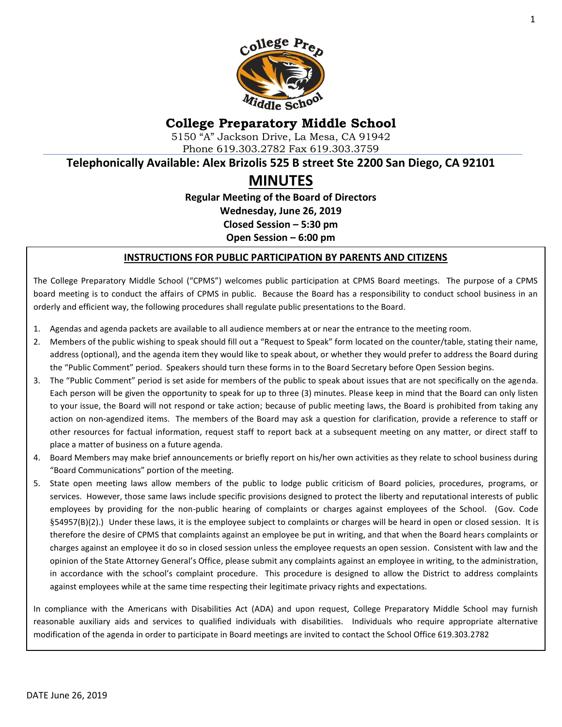

## **College Preparatory Middle School**

5150 "A" Jackson Drive, La Mesa, CA 91942 Phone 619.303.2782 Fax 619.303.3759

**Telephonically Available: Alex Brizolis 525 B street Ste 2200 San Diego, CA 92101**

# **MINUTES**

**Regular Meeting of the Board of Directors Wednesday, June 26, 2019 Closed Session – 5:30 pm Open Session – 6:00 pm**

#### **INSTRUCTIONS FOR PUBLIC PARTICIPATION BY PARENTS AND CITIZENS**

The College Preparatory Middle School ("CPMS") welcomes public participation at CPMS Board meetings. The purpose of a CPMS board meeting is to conduct the affairs of CPMS in public. Because the Board has a responsibility to conduct school business in an orderly and efficient way, the following procedures shall regulate public presentations to the Board.

- 1. Agendas and agenda packets are available to all audience members at or near the entrance to the meeting room.
- 2. Members of the public wishing to speak should fill out a "Request to Speak" form located on the counter/table, stating their name, address (optional), and the agenda item they would like to speak about, or whether they would prefer to address the Board during the "Public Comment" period. Speakers should turn these forms in to the Board Secretary before Open Session begins.
- 3. The "Public Comment" period is set aside for members of the public to speak about issues that are not specifically on the agenda. Each person will be given the opportunity to speak for up to three (3) minutes. Please keep in mind that the Board can only listen to your issue, the Board will not respond or take action; because of public meeting laws, the Board is prohibited from taking any action on non-agendized items. The members of the Board may ask a question for clarification, provide a reference to staff or other resources for factual information, request staff to report back at a subsequent meeting on any matter, or direct staff to place a matter of business on a future agenda.
- 4. Board Members may make brief announcements or briefly report on his/her own activities as they relate to school business during "Board Communications" portion of the meeting.
- 5. State open meeting laws allow members of the public to lodge public criticism of Board policies, procedures, programs, or services. However, those same laws include specific provisions designed to protect the liberty and reputational interests of public employees by providing for the non-public hearing of complaints or charges against employees of the School. (Gov. Code §54957(B)(2).) Under these laws, it is the employee subject to complaints or charges will be heard in open or closed session. It is therefore the desire of CPMS that complaints against an employee be put in writing, and that when the Board hears complaints or charges against an employee it do so in closed session unless the employee requests an open session. Consistent with law and the opinion of the State Attorney General's Office, please submit any complaints against an employee in writing, to the administration, in accordance with the school's complaint procedure. This procedure is designed to allow the District to address complaints against employees while at the same time respecting their legitimate privacy rights and expectations.

In compliance with the Americans with Disabilities Act (ADA) and upon request, College Preparatory Middle School may furnish reasonable auxiliary aids and services to qualified individuals with disabilities. Individuals who require appropriate alternative modification of the agenda in order to participate in Board meetings are invited to contact the School Office 619.303.2782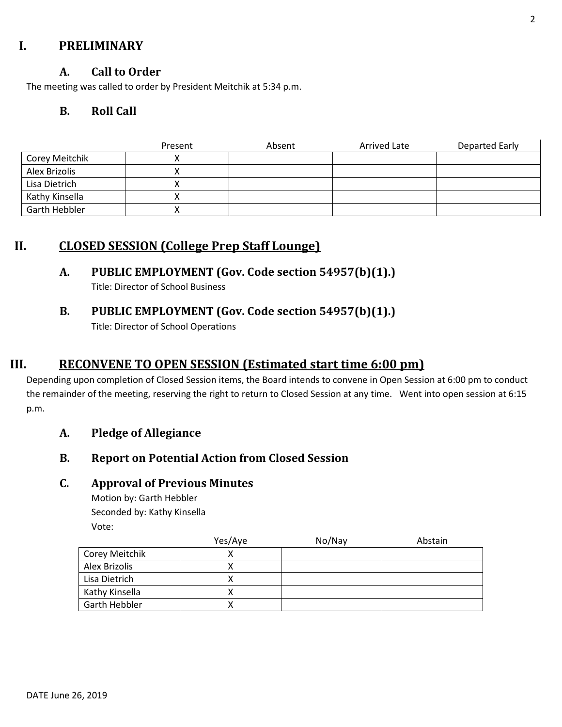### **I. PRELIMINARY**

#### **A. Call to Order**

The meeting was called to order by President Meitchik at 5:34 p.m.

#### **B. Roll Call**

|                      | Present | Absent | Arrived Late | Departed Early |
|----------------------|---------|--------|--------------|----------------|
| Corey Meitchik       |         |        |              |                |
| Alex Brizolis        |         |        |              |                |
| Lisa Dietrich        |         |        |              |                |
| Kathy Kinsella       |         |        |              |                |
| <b>Garth Hebbler</b> |         |        |              |                |

### **II. CLOSED SESSION (College Prep Staff Lounge)**

### **A. PUBLIC EMPLOYMENT (Gov. Code section 54957(b)(1).)**

Title: Director of School Business

## **B. PUBLIC EMPLOYMENT (Gov. Code section 54957(b)(1).)**

Title: Director of School Operations

### **III. RECONVENE TO OPEN SESSION (Estimated start time 6:00 pm)**

Depending upon completion of Closed Session items, the Board intends to convene in Open Session at 6:00 pm to conduct the remainder of the meeting, reserving the right to return to Closed Session at any time. Went into open session at 6:15 p.m.

#### **A. Pledge of Allegiance**

### **B. Report on Potential Action from Closed Session**

#### **C. Approval of Previous Minutes**

Motion by: Garth Hebbler Seconded by: Kathy Kinsella Vote:

|                | Yes/Aye | No/Nay | Abstain |
|----------------|---------|--------|---------|
| Corey Meitchik |         |        |         |
| Alex Brizolis  |         |        |         |
| Lisa Dietrich  |         |        |         |
| Kathy Kinsella |         |        |         |
| Garth Hebbler  |         |        |         |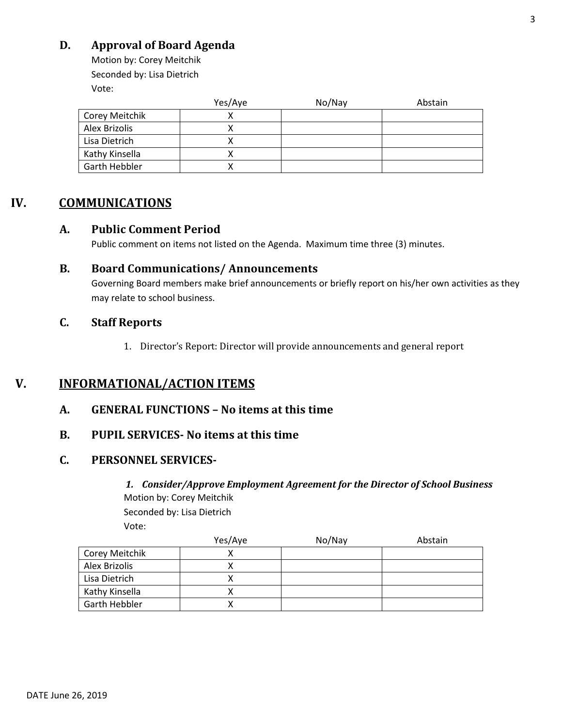### **D. Approval of Board Agenda**

Motion by: Corey Meitchik Seconded by: Lisa Dietrich Vote:

|                | Yes/Aye | No/Nay | Abstain |
|----------------|---------|--------|---------|
| Corey Meitchik |         |        |         |
| Alex Brizolis  |         |        |         |
| Lisa Dietrich  |         |        |         |
| Kathy Kinsella | Λ       |        |         |
| Garth Hebbler  |         |        |         |

### **IV. COMMUNICATIONS**

#### **A. Public Comment Period**

Public comment on items not listed on the Agenda. Maximum time three (3) minutes.

#### **B. Board Communications/ Announcements**

Governing Board members make brief announcements or briefly report on his/her own activities as they may relate to school business.

#### **C. Staff Reports**

1. Director's Report: Director will provide announcements and general report

## **V. INFORMATIONAL/ACTION ITEMS**

**A. GENERAL FUNCTIONS – No items at this time**

#### **B. PUPIL SERVICES- No items at this time**

#### **C. PERSONNEL SERVICES-**

*1. Consider/Approve Employment Agreement for the Director of School Business* Motion by: Corey Meitchik Seconded by: Lisa Dietrich

Vote:

|                | Yes/Aye | No/Nay | Abstain |
|----------------|---------|--------|---------|
| Corey Meitchik |         |        |         |
| Alex Brizolis  |         |        |         |
| Lisa Dietrich  |         |        |         |
| Kathy Kinsella |         |        |         |
| Garth Hebbler  |         |        |         |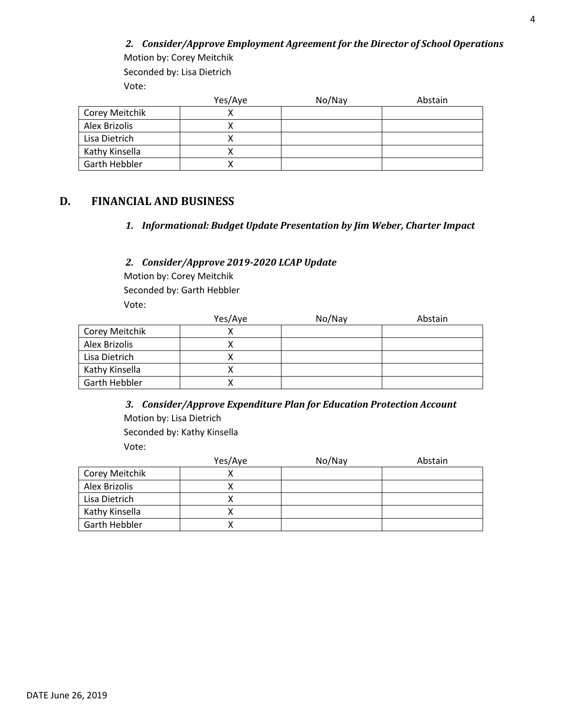#### *2. Consider/Approve Employment Agreement for the Director of School Operations* Motion by: Corey Meitchik

Seconded by: Lisa Dietrich Vote:

|                | Yes/Aye | No/Nay | Abstain |
|----------------|---------|--------|---------|
| Corey Meitchik |         |        |         |
| Alex Brizolis  |         |        |         |
| Lisa Dietrich  |         |        |         |
| Kathy Kinsella |         |        |         |
| Garth Hebbler  |         |        |         |

#### **D. FINANCIAL AND BUSINESS**

#### *1. Informational: Budget Update Presentation by Jim Weber, Charter Impact*

#### *2. Consider/Approve 2019-2020 LCAP Update*

Motion by: Corey Meitchik Seconded by: Garth Hebbler Vote:

|                      | Yes/Aye | No/Nay | Abstain |
|----------------------|---------|--------|---------|
| Corey Meitchik       |         |        |         |
| Alex Brizolis        |         |        |         |
| Lisa Dietrich        |         |        |         |
| Kathy Kinsella       |         |        |         |
| <b>Garth Hebbler</b> |         |        |         |

*3. Consider/Approve Expenditure Plan for Education Protection Account* Motion by: Lisa Dietrich Seconded by: Kathy Kinsella Vote:

|                      | Yes/Aye | No/Nay | Abstain |
|----------------------|---------|--------|---------|
| Corey Meitchik       |         |        |         |
| Alex Brizolis        |         |        |         |
| Lisa Dietrich        |         |        |         |
| Kathy Kinsella       |         |        |         |
| <b>Garth Hebbler</b> |         |        |         |